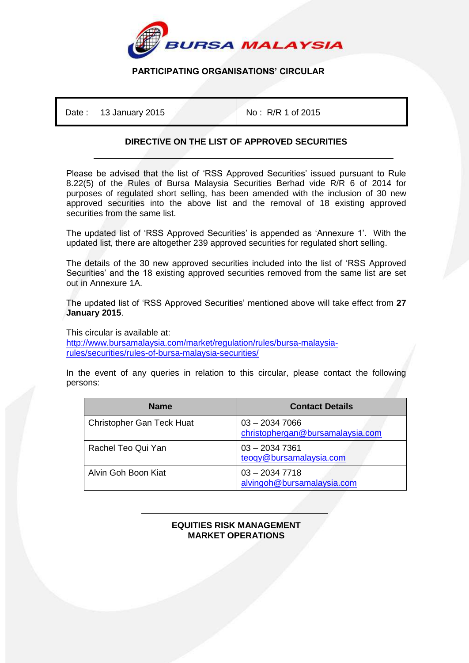

## **PARTICIPATING ORGANISATIONS' CIRCULAR**

Date : 13 January 2015 No : R/R 1 of 2015

## **DIRECTIVE ON THE LIST OF APPROVED SECURITIES**

Please be advised that the list of 'RSS Approved Securities' issued pursuant to Rule 8.22(5) of the Rules of Bursa Malaysia Securities Berhad vide R/R 6 of 2014 for purposes of regulated short selling, has been amended with the inclusion of 30 new approved securities into the above list and the removal of 18 existing approved securities from the same list.

The updated list of 'RSS Approved Securities' is appended as 'Annexure 1'. With the updated list, there are altogether 239 approved securities for regulated short selling.

The details of the 30 new approved securities included into the list of 'RSS Approved Securities' and the 18 existing approved securities removed from the same list are set out in Annexure 1A.

The updated list of 'RSS Approved Securities' mentioned above will take effect from **27 January 2015**.

This circular is available at:

[http://www.bursamalaysia.com/market/regulation/rules/bursa-malaysia](http://www.bursamalaysia.com/market/regulation/rules/bursa-malaysia-rules/securities/rules-of-bursa-malaysia-securities/)[rules/securities/rules-of-bursa-malaysia-securities/](http://www.bursamalaysia.com/market/regulation/rules/bursa-malaysia-rules/securities/rules-of-bursa-malaysia-securities/)

In the event of any queries in relation to this circular, please contact the following persons:

| <b>Name</b>                      | <b>Contact Details</b>                              |
|----------------------------------|-----------------------------------------------------|
| <b>Christopher Gan Teck Huat</b> | $03 - 20347066$<br>christophergan@bursamalaysia.com |
| Rachel Teo Qui Yan               | $03 - 20347361$<br>teogy@bursamalaysia.com          |
| Alvin Goh Boon Kiat              | $03 - 20347718$<br>alvingoh@bursamalaysia.com       |

## İ **EQUITIES RISK MANAGEMENT MARKET OPERATIONS**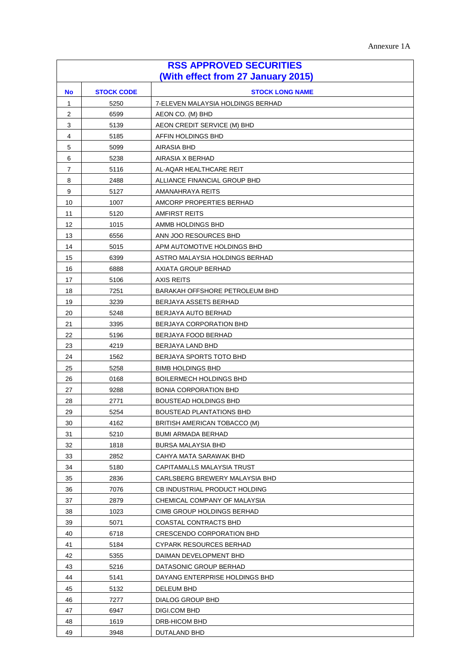| <b>RSS APPROVED SECURITIES</b><br>(With effect from 27 January 2015) |                   |                                                       |  |  |
|----------------------------------------------------------------------|-------------------|-------------------------------------------------------|--|--|
|                                                                      |                   |                                                       |  |  |
| No                                                                   | <b>STOCK CODE</b> | <b>STOCK LONG NAME</b>                                |  |  |
| 1                                                                    | 5250              | 7-ELEVEN MALAYSIA HOLDINGS BERHAD<br>AEON CO. (M) BHD |  |  |
| 2                                                                    | 6599              |                                                       |  |  |
| 3                                                                    | 5139              | AEON CREDIT SERVICE (M) BHD                           |  |  |
| 4                                                                    | 5185              | AFFIN HOLDINGS BHD                                    |  |  |
| 5                                                                    | 5099              | AIRASIA BHD                                           |  |  |
| 6                                                                    | 5238              | AIRASIA X BERHAD                                      |  |  |
| 7                                                                    | 5116              | AL-AQAR HEALTHCARE REIT                               |  |  |
| 8                                                                    | 2488              | ALLIANCE FINANCIAL GROUP BHD                          |  |  |
| 9<br>10                                                              | 5127              | AMANAHRAYA REITS                                      |  |  |
| 11                                                                   | 1007<br>5120      | AMCORP PROPERTIES BERHAD<br><b>AMFIRST REITS</b>      |  |  |
| 12                                                                   | 1015              | AMMB HOLDINGS BHD                                     |  |  |
| 13                                                                   | 6556              | ANN JOO RESOURCES BHD                                 |  |  |
| 14                                                                   | 5015              | APM AUTOMOTIVE HOLDINGS BHD                           |  |  |
| 15                                                                   | 6399              | ASTRO MALAYSIA HOLDINGS BERHAD                        |  |  |
| 16                                                                   | 6888              | AXIATA GROUP BERHAD                                   |  |  |
| 17                                                                   | 5106              | AXIS REITS                                            |  |  |
| 18                                                                   | 7251              | BARAKAH OFFSHORE PETROLEUM BHD                        |  |  |
| 19                                                                   | 3239              | BERJAYA ASSETS BERHAD                                 |  |  |
| 20                                                                   | 5248              | BERJAYA AUTO BERHAD                                   |  |  |
| 21                                                                   | 3395              | BERJAYA CORPORATION BHD                               |  |  |
| 22                                                                   | 5196              | BERJAYA FOOD BERHAD                                   |  |  |
| 23                                                                   | 4219              | BERJAYA LAND BHD                                      |  |  |
| 24                                                                   | 1562              | BERJAYA SPORTS TOTO BHD                               |  |  |
| 25                                                                   | 5258              | <b>BIMB HOLDINGS BHD</b>                              |  |  |
| 26                                                                   | 0168              | <b>BOILERMECH HOLDINGS BHD</b>                        |  |  |
| 27                                                                   | 9288              | <b>BONIA CORPORATION BHD</b>                          |  |  |
| 28                                                                   | 2771              | <b>BOUSTEAD HOLDINGS BHD</b>                          |  |  |
| 29                                                                   | 5254              | BOUSTEAD PLANTATIONS BHD                              |  |  |
| 30                                                                   | 4162              | BRITISH AMERICAN TOBACCO (M)                          |  |  |
| 31                                                                   | 5210              | BUMI ARMADA BERHAD                                    |  |  |
| 32                                                                   | 1818              | BURSA MALAYSIA BHD                                    |  |  |
| 33                                                                   | 2852              | CAHYA MATA SARAWAK BHD                                |  |  |
| 34                                                                   | 5180              | CAPITAMALLS MALAYSIA TRUST                            |  |  |
| 35                                                                   | 2836              | CARLSBERG BREWERY MALAYSIA BHD                        |  |  |
| 36                                                                   | 7076              | CB INDUSTRIAL PRODUCT HOLDING                         |  |  |
| 37                                                                   | 2879              | CHEMICAL COMPANY OF MALAYSIA                          |  |  |
| 38                                                                   | 1023              | CIMB GROUP HOLDINGS BERHAD                            |  |  |
| 39                                                                   | 5071              | COASTAL CONTRACTS BHD                                 |  |  |
| 40                                                                   | 6718              | CRESCENDO CORPORATION BHD                             |  |  |
| 41                                                                   | 5184              | CYPARK RESOURCES BERHAD                               |  |  |
| 42                                                                   | 5355              | DAIMAN DEVELOPMENT BHD                                |  |  |
| 43                                                                   | 5216              | DATASONIC GROUP BERHAD                                |  |  |
| 44                                                                   | 5141              | DAYANG ENTERPRISE HOLDINGS BHD                        |  |  |
| 45                                                                   | 5132              | DELEUM BHD                                            |  |  |
| 46                                                                   | 7277              | DIALOG GROUP BHD                                      |  |  |
| 47                                                                   | 6947              | DIGI.COM BHD                                          |  |  |
| 48                                                                   | 1619              | DRB-HICOM BHD                                         |  |  |
| 49                                                                   | 3948              | DUTALAND BHD                                          |  |  |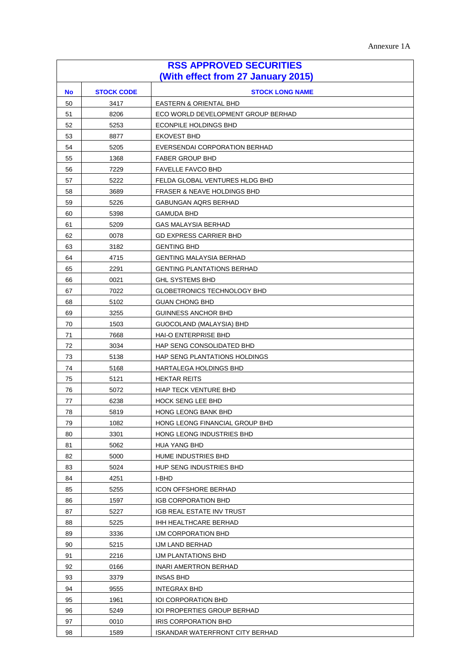| <b>RSS APPROVED SECURITIES</b>     |                   |                                        |
|------------------------------------|-------------------|----------------------------------------|
| (With effect from 27 January 2015) |                   |                                        |
| <b>No</b>                          | <b>STOCK CODE</b> | <b>STOCK LONG NAME</b>                 |
| 50                                 | 3417              | EASTERN & ORIENTAL BHD                 |
| 51                                 | 8206              | ECO WORLD DEVELOPMENT GROUP BERHAD     |
| 52                                 | 5253              | ECONPILE HOLDINGS BHD                  |
| 53                                 | 8877              | <b>EKOVEST BHD</b>                     |
| 54                                 | 5205              | EVERSENDAI CORPORATION BERHAD          |
| 55                                 | 1368              | <b>FABER GROUP BHD</b>                 |
| 56                                 | 7229              | <b>FAVELLE FAVCO BHD</b>               |
| 57                                 | 5222              | FELDA GLOBAL VENTURES HLDG BHD         |
| 58                                 | 3689              | <b>FRASER &amp; NEAVE HOLDINGS BHD</b> |
| 59                                 | 5226              | GABUNGAN AQRS BERHAD                   |
| 60                                 | 5398              | <b>GAMUDA BHD</b>                      |
| 61                                 | 5209              | <b>GAS MALAYSIA BERHAD</b>             |
| 62                                 | 0078              | <b>GD EXPRESS CARRIER BHD</b>          |
| 63                                 | 3182              | <b>GENTING BHD</b>                     |
| 64                                 | 4715              | <b>GENTING MALAYSIA BERHAD</b>         |
| 65                                 | 2291              | <b>GENTING PLANTATIONS BERHAD</b>      |
| 66                                 | 0021              | <b>GHL SYSTEMS BHD</b>                 |
| 67                                 | 7022              | <b>GLOBETRONICS TECHNOLOGY BHD</b>     |
| 68                                 | 5102              | <b>GUAN CHONG BHD</b>                  |
| 69                                 | 3255              | <b>GUINNESS ANCHOR BHD</b>             |
| 70                                 | 1503              | GUOCOLAND (MALAYSIA) BHD               |
| 71                                 | 7668              | <b>HAI-O ENTERPRISE BHD</b>            |
| 72                                 | 3034              | HAP SENG CONSOLIDATED BHD              |
| 73                                 | 5138              | HAP SENG PLANTATIONS HOLDINGS          |
| 74                                 | 5168              | HARTALEGA HOLDINGS BHD                 |
| 75                                 | 5121              | <b>HEKTAR REITS</b>                    |
| 76                                 | 5072              | <b>HIAP TECK VENTURE BHD</b>           |
| 77                                 | 6238              | <b>HOCK SENG LEE BHD</b>               |
| 78                                 | 5819              | HONG LEONG BANK BHD                    |
| 79                                 | 1082              | HONG LEONG FINANCIAL GROUP BHD         |
| 80                                 | 3301              | HONG LEONG INDUSTRIES BHD              |
| 81                                 | 5062              | HUA YANG BHD                           |
| 82                                 | 5000              | HUME INDUSTRIES BHD                    |
| 83                                 | 5024              | HUP SENG INDUSTRIES BHD                |
| 84                                 | 4251              | I-BHD                                  |
| 85                                 | 5255              | <b>ICON OFFSHORE BERHAD</b>            |
| 86                                 | 1597              | <b>IGB CORPORATION BHD</b>             |
| 87                                 | 5227              | IGB REAL ESTATE INV TRUST              |
| 88                                 | 5225              | IHH HEALTHCARE BERHAD                  |
| 89                                 | 3336              | IJM CORPORATION BHD                    |
| 90                                 | 5215              | IJM LAND BERHAD                        |
| 91                                 | 2216              | <b>IJM PLANTATIONS BHD</b>             |
| 92                                 | 0166              | INARI AMERTRON BERHAD                  |
| 93                                 | 3379              | <b>INSAS BHD</b>                       |
| 94                                 | 9555              | <b>INTEGRAX BHD</b>                    |
| 95                                 | 1961              | <b>IOI CORPORATION BHD</b>             |
| 96                                 | 5249              | IOI PROPERTIES GROUP BERHAD            |
| 97                                 | 0010              | IRIS CORPORATION BHD                   |
| 98                                 | 1589              | ISKANDAR WATERFRONT CITY BERHAD        |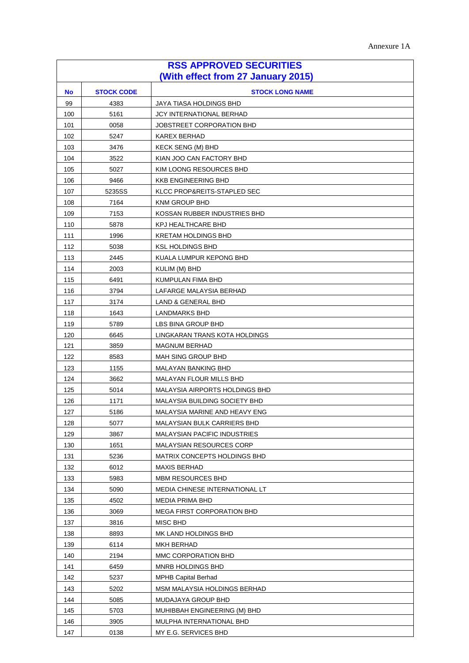| <b>RSS APPROVED SECURITIES</b>     |                   |                                     |
|------------------------------------|-------------------|-------------------------------------|
| (With effect from 27 January 2015) |                   |                                     |
| <b>No</b>                          | <b>STOCK CODE</b> | <b>STOCK LONG NAME</b>              |
| 99                                 | 4383              | JAYA TIASA HOLDINGS BHD             |
| 100                                | 5161              | JCY INTERNATIONAL BERHAD            |
| 101                                | 0058              | JOBSTREET CORPORATION BHD           |
| 102                                | 5247              | KAREX BERHAD                        |
| 103                                | 3476              | <b>KECK SENG (M) BHD</b>            |
| 104                                | 3522              | KIAN JOO CAN FACTORY BHD            |
| 105                                | 5027              | KIM LOONG RESOURCES BHD             |
| 106                                | 9466              | <b>KKB ENGINEERING BHD</b>          |
| 107                                | 5235SS            | KLCC PROP&REITS-STAPLED SEC         |
| 108                                | 7164              | KNM GROUP BHD                       |
| 109                                | 7153              | KOSSAN RUBBER INDUSTRIES BHD        |
| 110                                | 5878              | <b>KPJ HEALTHCARE BHD</b>           |
| 111                                | 1996              | <b>KRETAM HOLDINGS BHD</b>          |
| 112                                | 5038              | <b>KSL HOLDINGS BHD</b>             |
| 113                                | 2445              | KUALA LUMPUR KEPONG BHD             |
| 114                                | 2003              | KULIM (M) BHD                       |
| 115                                | 6491              | KUMPULAN FIMA BHD                   |
| 116                                | 3794              | LAFARGE MALAYSIA BERHAD             |
| 117                                | 3174              | LAND & GENERAL BHD                  |
| 118                                | 1643              | LANDMARKS BHD                       |
| 119                                | 5789              | LBS BINA GROUP BHD                  |
| 120                                | 6645              | LINGKARAN TRANS KOTA HOLDINGS       |
| 121                                | 3859              | <b>MAGNUM BERHAD</b>                |
| 122                                | 8583              | MAH SING GROUP BHD                  |
| 123                                | 1155              | MALAYAN BANKING BHD                 |
| 124                                | 3662              | MALAYAN FLOUR MILLS BHD             |
| 125                                | 5014              | MALAYSIA AIRPORTS HOLDINGS BHD      |
| 126                                | 1171              | MALAYSIA BUILDING SOCIETY BHD       |
| 127                                | 5186              | MALAYSIA MARINE AND HEAVY ENG       |
| 128                                | 5077              | <b>MALAYSIAN BULK CARRIERS BHD</b>  |
| 129                                | 3867              | <b>MALAYSIAN PACIFIC INDUSTRIES</b> |
| 130                                | 1651              | <b>MALAYSIAN RESOURCES CORP</b>     |
| 131                                | 5236              | MATRIX CONCEPTS HOLDINGS BHD        |
| 132                                | 6012              | <b>MAXIS BERHAD</b>                 |
| 133                                | 5983              | <b>MBM RESOURCES BHD</b>            |
| 134                                | 5090              | MEDIA CHINESE INTERNATIONAL LT      |
| 135                                | 4502              | MEDIA PRIMA BHD                     |
| 136                                | 3069              | <b>MEGA FIRST CORPORATION BHD</b>   |
| 137                                | 3816              | MISC BHD                            |
| 138                                | 8893              | MK LAND HOLDINGS BHD                |
| 139                                | 6114              | MKH BERHAD                          |
| 140                                | 2194              | MMC CORPORATION BHD                 |
| 141                                | 6459              | MNRB HOLDINGS BHD                   |
| 142                                | 5237              | <b>MPHB Capital Berhad</b>          |
| 143                                | 5202              | MSM MALAYSIA HOLDINGS BERHAD        |
| 144                                | 5085              | MUDAJAYA GROUP BHD                  |
| 145                                | 5703              | MUHIBBAH ENGINEERING (M) BHD        |
| 146                                | 3905              | MULPHA INTERNATIONAL BHD            |
| 147                                | 0138              | MY E.G. SERVICES BHD                |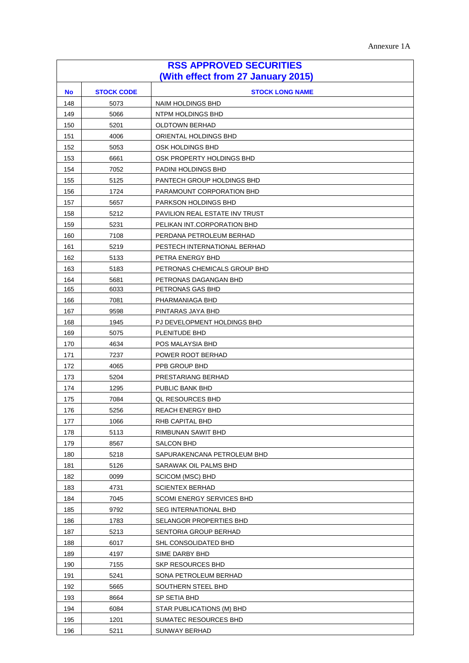| <b>RSS APPROVED SECURITIES</b>     |                   |                                |
|------------------------------------|-------------------|--------------------------------|
| (With effect from 27 January 2015) |                   |                                |
| <b>No</b>                          | <b>STOCK CODE</b> | <b>STOCK LONG NAME</b>         |
| 148                                | 5073              | <b>NAIM HOLDINGS BHD</b>       |
| 149                                | 5066              | NTPM HOLDINGS BHD              |
| 150                                | 5201              | <b>OLDTOWN BERHAD</b>          |
| 151                                | 4006              | ORIENTAL HOLDINGS BHD          |
| 152                                | 5053              | OSK HOLDINGS BHD               |
| 153                                | 6661              | OSK PROPERTY HOLDINGS BHD      |
| 154                                | 7052              | PADINI HOLDINGS BHD            |
| 155                                | 5125              | PANTECH GROUP HOLDINGS BHD     |
| 156                                | 1724              | PARAMOUNT CORPORATION BHD      |
| 157                                | 5657              | PARKSON HOLDINGS BHD           |
| 158                                | 5212              | PAVILION REAL ESTATE INV TRUST |
| 159                                | 5231              | PELIKAN INT.CORPORATION BHD    |
| 160                                | 7108              | PERDANA PETROLEUM BERHAD       |
| 161                                | 5219              | PESTECH INTERNATIONAL BERHAD   |
| 162                                | 5133              | PETRA ENERGY BHD               |
| 163                                | 5183              | PETRONAS CHEMICALS GROUP BHD   |
| 164                                | 5681              | PETRONAS DAGANGAN BHD          |
| 165                                | 6033              | PETRONAS GAS BHD               |
| 166                                | 7081              | PHARMANIAGA BHD                |
| 167                                | 9598              | PINTARAS JAYA BHD              |
| 168                                | 1945              | PJ DEVELOPMENT HOLDINGS BHD    |
| 169                                | 5075              | PLENITUDE BHD                  |
| 170                                | 4634              | POS MALAYSIA BHD               |
| 171                                | 7237              | POWER ROOT BERHAD              |
| 172                                | 4065              | PPB GROUP BHD                  |
| 173                                | 5204              | PRESTARIANG BERHAD             |
| 174                                | 1295              | PUBLIC BANK BHD                |
| 175                                | 7084              | <b>QL RESOURCES BHD</b>        |
| 176                                | 5256              | REACH ENERGY BHD               |
| 177                                | 1066              | RHB CAPITAL BHD                |
| 178                                | 5113              | RIMBUNAN SAWIT BHD             |
| 179                                | 8567              | SALCON BHD                     |
| 180                                | 5218              | SAPURAKENCANA PETROLEUM BHD    |
| 181                                | 5126              | SARAWAK OIL PALMS BHD          |
| 182                                | 0099              | SCICOM (MSC) BHD               |
| 183                                | 4731              | <b>SCIENTEX BERHAD</b>         |
| 184                                | 7045              | SCOMI ENERGY SERVICES BHD      |
| 185                                | 9792              | <b>SEG INTERNATIONAL BHD</b>   |
| 186                                | 1783              | SELANGOR PROPERTIES BHD        |
| 187                                | 5213              | SENTORIA GROUP BERHAD          |
| 188                                | 6017              | SHL CONSOLIDATED BHD           |
| 189                                | 4197              | SIME DARBY BHD                 |
| 190                                | 7155              | <b>SKP RESOURCES BHD</b>       |
| 191                                | 5241              | SONA PETROLEUM BERHAD          |
| 192                                | 5665              | SOUTHERN STEEL BHD             |
| 193                                | 8664              | SP SETIA BHD                   |
| 194                                | 6084              | STAR PUBLICATIONS (M) BHD      |
| 195                                | 1201              | SUMATEC RESOURCES BHD          |
| 196                                | 5211              | <b>SUNWAY BERHAD</b>           |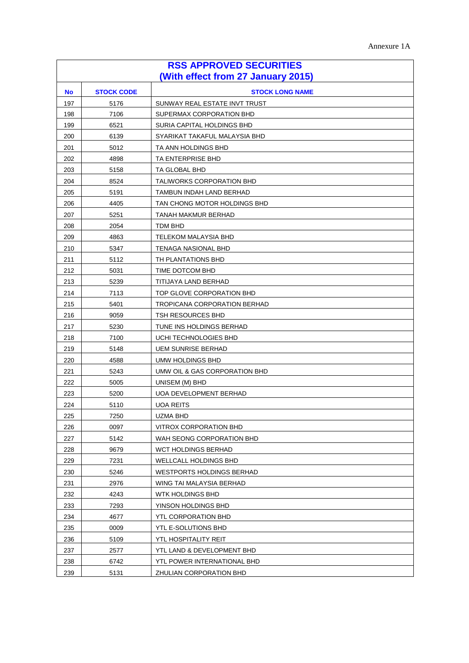| <b>RSS APPROVED SECURITIES</b>     |                   |                                     |
|------------------------------------|-------------------|-------------------------------------|
| (With effect from 27 January 2015) |                   |                                     |
| <b>No</b>                          | <b>STOCK CODE</b> | <b>STOCK LONG NAME</b>              |
| 197                                | 5176              | SUNWAY REAL ESTATE INVT TRUST       |
| 198                                | 7106              | SUPERMAX CORPORATION BHD            |
| 199                                | 6521              | SURIA CAPITAL HOLDINGS BHD          |
| 200                                | 6139              | SYARIKAT TAKAFUL MALAYSIA BHD       |
| 201                                | 5012              | TA ANN HOLDINGS BHD                 |
| 202                                | 4898              | TA ENTERPRISE BHD                   |
| 203                                | 5158              | <b>TA GLOBAL BHD</b>                |
| 204                                | 8524              | <b>TALIWORKS CORPORATION BHD</b>    |
| 205                                | 5191              | TAMBUN INDAH LAND BERHAD            |
| 206                                | 4405              | TAN CHONG MOTOR HOLDINGS BHD        |
| 207                                | 5251              | TANAH MAKMUR BERHAD                 |
| 208                                | 2054              | TDM BHD                             |
| 209                                | 4863              | TELEKOM MALAYSIA BHD                |
| 210                                | 5347              | TENAGA NASIONAL BHD                 |
| 211                                | 5112              | TH PLANTATIONS BHD                  |
| 212                                | 5031              | TIME DOTCOM BHD                     |
| 213                                | 5239              | TITIJAYA LAND BERHAD                |
| 214                                | 7113              | TOP GLOVE CORPORATION BHD           |
| 215                                | 5401              | <b>TROPICANA CORPORATION BERHAD</b> |
| 216                                | 9059              | TSH RESOURCES BHD                   |
| 217                                | 5230              | TUNE INS HOLDINGS BERHAD            |
| 218                                | 7100              | UCHI TECHNOLOGIES BHD               |
| 219                                | 5148              | <b>UEM SUNRISE BERHAD</b>           |
| 220                                | 4588              | UMW HOLDINGS BHD                    |
| 221                                | 5243              | UMW OIL & GAS CORPORATION BHD       |
| 222                                | 5005              | UNISEM (M) BHD                      |
| 223                                | 5200              | UOA DEVELOPMENT BERHAD              |
| 224                                | 5110              | <b>UOA REITS</b>                    |
| 225                                | 7250              | UZMA BHD                            |
| 226                                | 0097              | VITROX CORPORATION BHD              |
| 227                                | 5142              | WAH SEONG CORPORATION BHD           |
| 228                                | 9679              | WCT HOLDINGS BERHAD                 |
| 229                                | 7231              | WELLCALL HOLDINGS BHD               |
| 230                                | 5246              | <b>WESTPORTS HOLDINGS BERHAD</b>    |
| 231                                | 2976              | WING TAI MALAYSIA BERHAD            |
| 232                                | 4243              | WTK HOLDINGS BHD                    |
| 233                                | 7293              | YINSON HOLDINGS BHD                 |
| 234                                | 4677              | YTL CORPORATION BHD                 |
| 235                                | 0009              | YTL E-SOLUTIONS BHD                 |
| 236                                | 5109              | YTL HOSPITALITY REIT                |
| 237                                | 2577              | YTL LAND & DEVELOPMENT BHD          |
| 238                                | 6742              | YTL POWER INTERNATIONAL BHD         |
| 239                                | 5131              | ZHULIAN CORPORATION BHD             |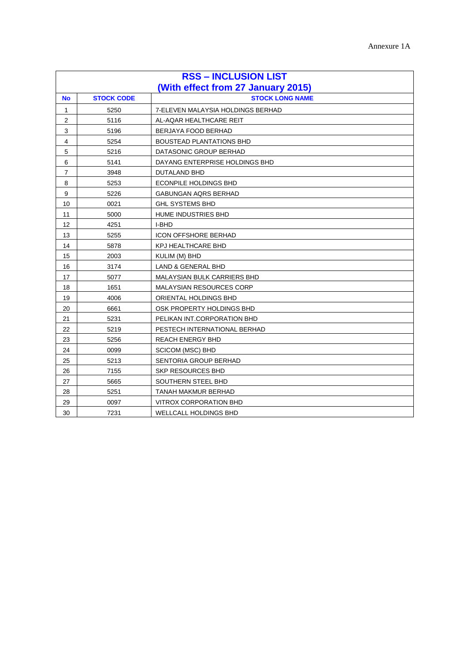| <b>RSS - INCLUSION LIST</b> |                                    |                                   |  |
|-----------------------------|------------------------------------|-----------------------------------|--|
|                             | (With effect from 27 January 2015) |                                   |  |
| <b>No</b>                   | <b>STOCK CODE</b>                  | <b>STOCK LONG NAME</b>            |  |
| 1                           | 5250                               | 7-ELEVEN MALAYSIA HOLDINGS BERHAD |  |
| 2                           | 5116                               | AL-AQAR HEALTHCARE REIT           |  |
| 3                           | 5196                               | BERJAYA FOOD BERHAD               |  |
| 4                           | 5254                               | <b>BOUSTEAD PLANTATIONS BHD</b>   |  |
| 5                           | 5216                               | DATASONIC GROUP BERHAD            |  |
| 6                           | 5141                               | DAYANG ENTERPRISE HOLDINGS BHD    |  |
| 7                           | 3948                               | DUTALAND BHD                      |  |
| 8                           | 5253                               | <b>ECONPILE HOLDINGS BHD</b>      |  |
| 9                           | 5226                               | <b>GABUNGAN AQRS BERHAD</b>       |  |
| 10                          | 0021                               | <b>GHL SYSTEMS BHD</b>            |  |
| 11                          | 5000                               | HUME INDUSTRIES BHD               |  |
| 12                          | 4251                               | I-BHD                             |  |
| 13                          | 5255                               | <b>ICON OFFSHORE BERHAD</b>       |  |
| 14                          | 5878                               | <b>KPJ HEALTHCARE BHD</b>         |  |
| 15                          | 2003                               | KULIM (M) BHD                     |  |
| 16                          | 3174                               | <b>LAND &amp; GENERAL BHD</b>     |  |
| 17                          | 5077                               | MALAYSIAN BULK CARRIERS BHD       |  |
| 18                          | 1651                               | <b>MALAYSIAN RESOURCES CORP</b>   |  |
| 19                          | 4006                               | ORIENTAL HOLDINGS BHD             |  |
| 20                          | 6661                               | OSK PROPERTY HOLDINGS BHD         |  |
| 21                          | 5231                               | PELIKAN INT.CORPORATION BHD       |  |
| 22                          | 5219                               | PESTECH INTERNATIONAL BERHAD      |  |
| 23                          | 5256                               | <b>REACH ENERGY BHD</b>           |  |
| 24                          | 0099                               | <b>SCICOM (MSC) BHD</b>           |  |
| 25                          | 5213                               | SENTORIA GROUP BERHAD             |  |
| 26                          | 7155                               | <b>SKP RESOURCES BHD</b>          |  |
| 27                          | 5665                               | SOUTHERN STEEL BHD                |  |
| 28                          | 5251                               | TANAH MAKMUR BERHAD               |  |
| 29                          | 0097                               | VITROX CORPORATION BHD            |  |
| 30                          | 7231                               | WELLCALL HOLDINGS BHD             |  |